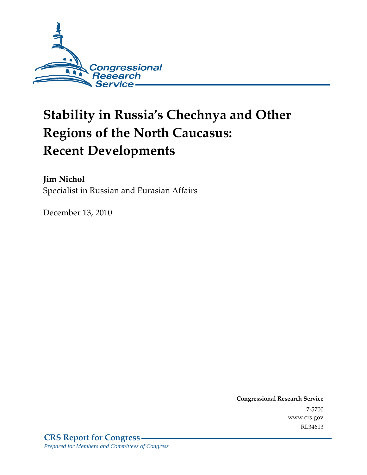

# **Stability in Russia's Chechnya and Other Regions of the North Caucasus: Recent Developments**

**Jim Nichol**  Specialist in Russian and Eurasian Affairs

December 13, 2010

**Congressional Research Service** 7-5700 www.crs.gov RL34613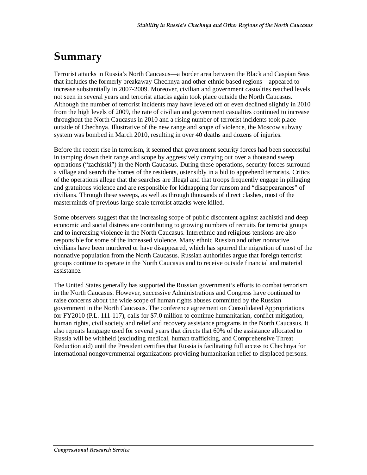### **Summary**

Terrorist attacks in Russia's North Caucasus—a border area between the Black and Caspian Seas that includes the formerly breakaway Chechnya and other ethnic-based regions—appeared to increase substantially in 2007-2009. Moreover, civilian and government casualties reached levels not seen in several years and terrorist attacks again took place outside the North Caucasus. Although the number of terrorist incidents may have leveled off or even declined slightly in 2010 from the high levels of 2009, the rate of civilian and government casualties continued to increase throughout the North Caucasus in 2010 and a rising number of terrorist incidents took place outside of Chechnya. Illustrative of the new range and scope of violence, the Moscow subway system was bombed in March 2010, resulting in over 40 deaths and dozens of injuries.

Before the recent rise in terrorism, it seemed that government security forces had been successful in tamping down their range and scope by aggressively carrying out over a thousand sweep operations ("zachistki") in the North Caucasus. During these operations, security forces surround a village and search the homes of the residents, ostensibly in a bid to apprehend terrorists. Critics of the operations allege that the searches are illegal and that troops frequently engage in pillaging and gratuitous violence and are responsible for kidnapping for ransom and "disappearances" of civilians. Through these sweeps, as well as through thousands of direct clashes, most of the masterminds of previous large-scale terrorist attacks were killed.

Some observers suggest that the increasing scope of public discontent against zachistki and deep economic and social distress are contributing to growing numbers of recruits for terrorist groups and to increasing violence in the North Caucasus. Interethnic and religious tensions are also responsible for some of the increased violence. Many ethnic Russian and other nonnative civilians have been murdered or have disappeared, which has spurred the migration of most of the nonnative population from the North Caucasus. Russian authorities argue that foreign terrorist groups continue to operate in the North Caucasus and to receive outside financial and material assistance.

The United States generally has supported the Russian government's efforts to combat terrorism in the North Caucasus. However, successive Administrations and Congress have continued to raise concerns about the wide scope of human rights abuses committed by the Russian government in the North Caucasus. The conference agreement on Consolidated Appropriations for FY2010 (P.L. 111-117), calls for \$7.0 million to continue humanitarian, conflict mitigation, human rights, civil society and relief and recovery assistance programs in the North Caucasus. It also repeats language used for several years that directs that 60% of the assistance allocated to Russia will be withheld (excluding medical, human trafficking, and Comprehensive Threat Reduction aid) until the President certifies that Russia is facilitating full access to Chechnya for international nongovernmental organizations providing humanitarian relief to displaced persons.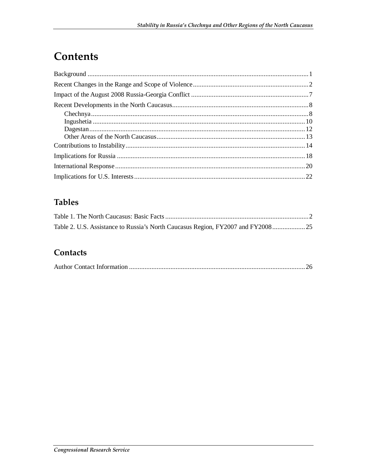### Contents

### **Tables**

| Table 2. U.S. Assistance to Russia's North Caucasus Region, FY2007 and FY2008 |  |
|-------------------------------------------------------------------------------|--|

### Contacts

|--|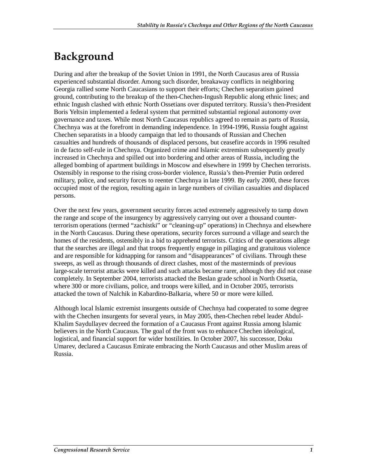# **Background**

During and after the breakup of the Soviet Union in 1991, the North Caucasus area of Russia experienced substantial disorder. Among such disorder, breakaway conflicts in neighboring Georgia rallied some North Caucasians to support their efforts; Chechen separatism gained ground, contributing to the breakup of the then-Chechen-Ingush Republic along ethnic lines; and ethnic Ingush clashed with ethnic North Ossetians over disputed territory. Russia's then-President Boris Yeltsin implemented a federal system that permitted substantial regional autonomy over governance and taxes. While most North Caucasus republics agreed to remain as parts of Russia, Chechnya was at the forefront in demanding independence. In 1994-1996, Russia fought against Chechen separatists in a bloody campaign that led to thousands of Russian and Chechen casualties and hundreds of thousands of displaced persons, but ceasefire accords in 1996 resulted in de facto self-rule in Chechnya. Organized crime and Islamic extremism subsequently greatly increased in Chechnya and spilled out into bordering and other areas of Russia, including the alleged bombing of apartment buildings in Moscow and elsewhere in 1999 by Chechen terrorists. Ostensibly in response to the rising cross-border violence, Russia's then-Premier Putin ordered military, police, and security forces to reenter Chechnya in late 1999. By early 2000, these forces occupied most of the region, resulting again in large numbers of civilian casualties and displaced persons.

Over the next few years, government security forces acted extremely aggressively to tamp down the range and scope of the insurgency by aggressively carrying out over a thousand counterterrorism operations (termed "zachistki" or "cleaning-up" operations) in Chechnya and elsewhere in the North Caucasus. During these operations, security forces surround a village and search the homes of the residents, ostensibly in a bid to apprehend terrorists. Critics of the operations allege that the searches are illegal and that troops frequently engage in pillaging and gratuitous violence and are responsible for kidnapping for ransom and "disappearances" of civilians. Through these sweeps, as well as through thousands of direct clashes, most of the masterminds of previous large-scale terrorist attacks were killed and such attacks became rarer, although they did not cease completely. In September 2004, terrorists attacked the Beslan grade school in North Ossetia, where 300 or more civilians, police, and troops were killed, and in October 2005, terrorists attacked the town of Nalchik in Kabardino-Balkaria, where 50 or more were killed.

Although local Islamic extremist insurgents outside of Chechnya had cooperated to some degree with the Chechen insurgents for several years, in May 2005, then-Chechen rebel leader Abdul-Khalim Saydullayev decreed the formation of a Caucasus Front against Russia among Islamic believers in the North Caucasus. The goal of the front was to enhance Chechen ideological, logistical, and financial support for wider hostilities. In October 2007, his successor, Doku Umarev, declared a Caucasus Emirate embracing the North Caucasus and other Muslim areas of Russia.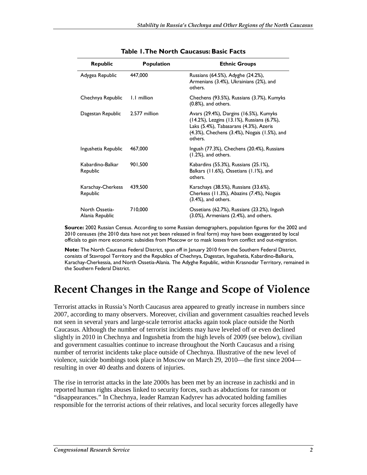| <b>Republic</b>                   | <b>Population</b> | <b>Ethnic Groups</b>                                                                                                                                                                     |  |  |
|-----------------------------------|-------------------|------------------------------------------------------------------------------------------------------------------------------------------------------------------------------------------|--|--|
| Adygea Republic                   | 447,000           | Russians (64.5%), Adyghe (24.2%),<br>Armenians (3.4%), Ukrainians (2%), and<br>others.                                                                                                   |  |  |
| Chechnya Republic                 | 1.1 million       | Chechens (93.5%), Russians (3.7%), Kumyks<br>$(0.8\%)$ , and others.                                                                                                                     |  |  |
| Dagestan Republic                 | 2.577 million     | Avars (29.4%), Dargins (16.5%), Kumyks<br>(14.2%), Lezgins (13.1%), Russians (6.7%),<br>Laks (5.4%), Tabasarans (4.3%), Azeris<br>(4.3%), Chechens (3.4%), Nogais (1.5%), and<br>others. |  |  |
| Ingushetia Republic               | 467,000           | Ingush (77.3%), Chechens (20.4%), Russians<br>$(1.2%)$ , and others.                                                                                                                     |  |  |
| Kabardino-Balkar<br>Republic      | 901,500           | Kabardins (55.3%), Russians (25.1%),<br>Balkars (11.6%), Ossetians (1.1%), and<br>others.                                                                                                |  |  |
| Karachay-Cherkess<br>Republic     | 439,500           | Karachays (38.5%), Russians (33.6%),<br>Cherkess (11.3%), Abazins (7.4%), Nogais<br>$(3.4%)$ , and others.                                                                               |  |  |
| North Ossetia-<br>Alania Republic | 710,000           | Ossetians (62.7%), Russians (23.2%), Ingush<br>(3.0%), Armenians (2.4%), and others.                                                                                                     |  |  |

#### **Table 1. The North Caucasus: Basic Facts**

**Source:** 2002 Russian Census. According to some Russian demographers, population figures for the 2002 and 2010 censuses (the 2010 data have not yet been released in final form) may have been exaggerated by local officials to gain more economic subsidies from Moscow or to mask losses from conflict and out-migration.

**Note:** The North Caucasus Federal District, spun off in January 2010 from the Southern Federal District, consists of Stavropol Territory and the Republics of Chechnya, Dagestan, Ingushetia, Kabardino-Balkaria, Karachay-Cherkessia, and North Ossetia-Alania. The Adyghe Republic, within Krasnodar Territory, remained in the Southern Federal District.

### **Recent Changes in the Range and Scope of Violence**

Terrorist attacks in Russia's North Caucasus area appeared to greatly increase in numbers since 2007, according to many observers. Moreover, civilian and government casualties reached levels not seen in several years and large-scale terrorist attacks again took place outside the North Caucasus. Although the number of terrorist incidents may have leveled off or even declined slightly in 2010 in Chechnya and Ingushetia from the high levels of 2009 (see below), civilian and government casualties continue to increase throughout the North Caucasus and a rising number of terrorist incidents take place outside of Chechnya. Illustrative of the new level of violence, suicide bombings took place in Moscow on March 29, 2010—the first since 2004 resulting in over 40 deaths and dozens of injuries.

The rise in terrorist attacks in the late 2000s has been met by an increase in zachistki and in reported human rights abuses linked to security forces, such as abductions for ransom or "disappearances." In Chechnya, leader Ramzan Kadyrev has advocated holding families responsible for the terrorist actions of their relatives, and local security forces allegedly have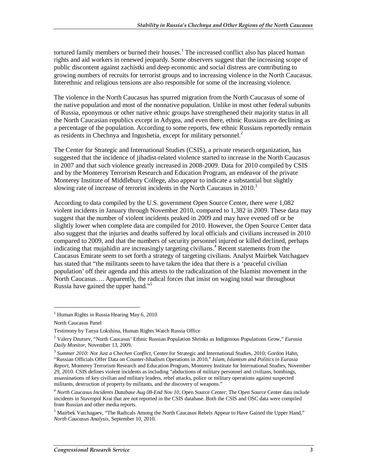tortured family members or burned their houses.<sup>1</sup> The increased conflict also has placed human rights and aid workers in renewed jeopardy. Some observers suggest that the increasing scope of public discontent against zachistki and deep economic and social distress are contributing to growing numbers of recruits for terrorist groups and to increasing violence in the North Caucasus. Interethnic and religious tensions are also responsible for some of the increasing violence.

The violence in the North Caucasus has spurred migration from the North Caucasus of some of the native population and most of the nonnative population. Unlike in most other federal subunits of Russia, eponymous or other native ethnic groups have strengthened their majority status in all the North Caucasian republics except in Adygea, and even there, ethnic Russians are declining as a percentage of the population. According to some reports, few ethnic Russians reportedly remain as residents in Chechnya and Ingushetia, except for military personnel.<sup>2</sup>

The Center for Strategic and International Studies (CSIS), a private research organization, has suggested that the incidence of jihadist-related violence started to increase in the North Caucasus in 2007 and that such violence greatly increased in 2008-2009. Data for 2010 compiled by CSIS and by the Monterey Terrorism Research and Education Program, an endeavor of the private Monterey Institute of Middlebury College, also appear to indicate a substantial but slightly slowing rate of increase of terrorist incidents in the North Caucasus in  $2010<sup>3</sup>$ 

According to data compiled by the U.S. government Open Source Center, there were 1,082 violent incidents in January through November 2010, compared to 1,382 in 2009. These data may suggest that the number of violent incidents peaked in 2009 and may have evened off or be slightly lower when complete data are compiled for 2010. However, the Open Source Center data also suggest that the injuries and deaths suffered by local officials and civilians increased in 2010 compared to 2009, and that the numbers of security personnel injured or killed declined, perhaps indicating that mujahidin are increasingly targeting civilians.<sup>4</sup> Recent statements from the Caucasus Emirate seem to set forth a strategy of targeting civilians. Analyst Mairbek Vatchagaev has stated that "the militants seem to have taken the idea that there is a 'peaceful civilian population' off their agenda and this attests to the radicalization of the Islamist movement in the North Caucasus…. Apparently, the radical forces that insist on waging total war throughout Russia have gained the upper hand."<sup>5</sup>

<sup>&</sup>lt;sup>1</sup> Human Rights in Russia Hearing May 6, 2010

North Caucasus Panel

Testimony by Tanya Lokshina, Human Rights Watch Russia Office

<sup>2</sup> Valery Dzutsev, "North Caucasus' Ethnic Russian Population Shrinks as Indigenous Populations Grow," *Eurasia Daily Monitor*, November 13, 2009.

<sup>&</sup>lt;sup>3</sup> Summer 2010: Not Just a Chechen Conflict, Center for Strategic and International Studies, 2010; Gordon Hahn, "Russian Officials Offer Data on Counter-Jihadism Operations in 2010," *Islam, Islamism and Politics in Eurasia Report*, Monterey Terrorism Research and Education Program, Monterey Institute for International Studies, November 29, 2010. CSIS defines violent incidents as including "abductions of military personnel and civilians, bombings, assassinations of key civilian and military leaders, rebel attacks, police or military operations against suspected militants, destruction of property by militants, and the discovery of weapons."

<sup>4</sup> *North Caucasus Incidents Database Aug 08-End Nov 10*, Open Source Center; The Open Source Center data include incidents in Stavropol Krai that are not reported in the CSIS database. Both the CSIS and OSC data were compiled from Russian and other media reports.

<sup>&</sup>lt;sup>5</sup> Mairbek Vatchagaev, "The Radicals Among the North Caucasus Rebels Appear to Have Gained the Upper Hand," *North Caucasus Analysis*, September 10, 2010.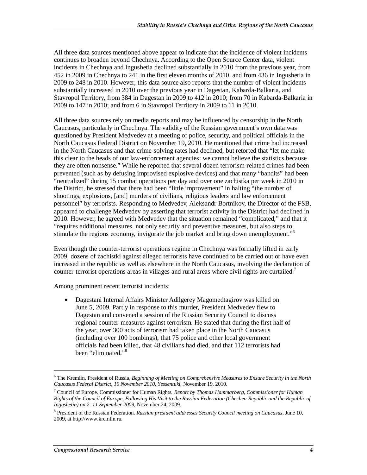All three data sources mentioned above appear to indicate that the incidence of violent incidents continues to broaden beyond Chechnya. According to the Open Source Center data, violent incidents in Chechnya and Ingushetia declined substantially in 2010 from the previous year, from 452 in 2009 in Chechnya to 241 in the first eleven months of 2010, and from 436 in Ingushetia in 2009 to 248 in 2010. However, this data source also reports that the number of violent incidents substantially increased in 2010 over the previous year in Dagestan, Kabarda-Balkaria, and Stavropol Territory, from 384 in Dagestan in 2009 to 412 in 2010; from 70 in Kabarda-Balkaria in 2009 to 147 in 2010; and from 6 in Stavropol Territory in 2009 to 11 in 2010.

All three data sources rely on media reports and may be influenced by censorship in the North Caucasus, particularly in Chechnya. The validity of the Russian government's own data was questioned by President Medvedev at a meeting of police, security, and political officials in the North Caucasus Federal District on November 19, 2010. He mentioned that crime had increased in the North Caucasus and that crime-solving rates had declined, but retorted that "let me make this clear to the heads of our law-enforcement agencies: we cannot believe the statistics because they are often nonsense." While he reported that several dozen terrorism-related crimes had been prevented (such as by defusing improvised explosive devices) and that many "bandits" had been "neutralized" during 15 combat operations per day and over one zachistka per week in 2010 in the District, he stressed that there had been "little improvement" in halting "the number of shootings, explosions, [and] murders of civilians, religious leaders and law enforcement personnel" by terrorists. Responding to Medvedev, Aleksandr Bortnikov, the Director of the FSB, appeared to challenge Medvedev by asserting that terrorist activity in the District had declined in 2010. However, he agreed with Medvedev that the situation remained "complicated," and that it "requires additional measures, not only security and preventive measures, but also steps to stimulate the regions economy, invigorate the job market and bring down unemployment."<sup>6</sup>

Even though the counter-terrorist operations regime in Chechnya was formally lifted in early 2009, dozens of zachistki against alleged terrorists have continued to be carried out or have even increased in the republic as well as elsewhere in the North Caucasus, involving the declaration of counter-terrorist operations areas in villages and rural areas where civil rights are curtailed.<sup>7</sup>

Among prominent recent terrorist incidents:

• Dagestani Internal Affairs Minister Adilgerey Magomedtagirov was killed on June 5, 2009. Partly in response to this murder, President Medvedev flew to Dagestan and convened a session of the Russian Security Council to discuss regional counter-measures against terrorism. He stated that during the first half of the year, over 300 acts of terrorism had taken place in the North Caucasus (including over 100 bombings), that 75 police and other local government officials had been killed, that 48 civilians had died, and that 112 terrorists had been "eliminated."<sup>8</sup>

<sup>6</sup> The Kremlin, President of Russia, *Beginning of Meeting on Comprehensive Measures to Ensure Security in the North Caucasus Federal District, 19 November 2010, Yessentuki*, November 19, 2010.

<sup>7</sup> Council of Europe. Commissioner for Human Rights*. Report by Thomas Hammarberg, Commissioner for Human Rights of the Council of Europe, Following His Visit to the Russian Federation (Chechen Republic and the Republic of Ingushetia) on 2 -11 September 2009*, November 24, 2009.

<sup>8</sup> President of the Russian Federation. *Russian president addresses Security Council meeting on Caucasus*, June 10, 2009, at http://www.kremlin.ru.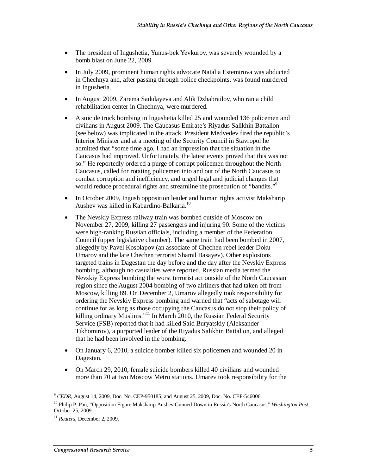- The president of Ingushetia, Yunus-bek Yevkurov, was severely wounded by a bomb blast on June 22, 2009.
- In July 2009, prominent human rights advocate Natalia Estemirova was abducted in Chechnya and, after passing through police checkpoints, was found murdered in Ingushetia.
- In August 2009, Zarema Sadulayeva and Alik Dzhabrailov, who ran a child rehabilitation center in Chechnya, were murdered.
- A suicide truck bombing in Ingushetia killed 25 and wounded 136 policemen and civilians in August 2009. The Caucasus Emirate's Riyadus Salikhin Battalion (see below) was implicated in the attack. President Medvedev fired the republic's Interior Minister and at a meeting of the Security Council in Stavropol he admitted that "some time ago, I had an impression that the situation in the Caucasus had improved. Unfortunately, the latest events proved that this was not so." He reportedly ordered a purge of corrupt policemen throughout the North Caucasus, called for rotating policemen into and out of the North Caucasus to combat corruption and inefficiency, and urged legal and judicial changes that would reduce procedural rights and streamline the prosecution of "bandits."<sup>9</sup>
- In October 2009, Ingush opposition leader and human rights activist Maksharip Aushev was killed in Kabardino-Balkaria.10
- The Nevskiy Express railway train was bombed outside of Moscow on November 27, 2009, killing 27 passengers and injuring 90. Some of the victims were high-ranking Russian officials, including a member of the Federation Council (upper legislative chamber). The same train had been bombed in 2007, allegedly by Pavel Kosolapov (an associate of Chechen rebel leader Doku Umarov and the late Chechen terrorist Shamil Basayev). Other explosions targeted trains in Dagestan the day before and the day after the Nevskiy Express bombing, although no casualties were reported. Russian media termed the Nevskiy Express bombing the worst terrorist act outside of the North Caucasian region since the August 2004 bombing of two airliners that had taken off from Moscow, killing 89. On December 2, Umarov allegedly took responsibility for ordering the Nevskiy Express bombing and warned that "acts of sabotage will continue for as long as those occupying the Caucasus do not stop their policy of killing ordinary Muslims."<sup>11</sup> In March 2010, the Russian Federal Security Service (FSB) reported that it had killed Said Buryatskiy (Aleksander Tikhomirov), a purported leader of the Riyadus Salikhin Battalion, and alleged that he had been involved in the bombing.
- On January 6, 2010, a suicide bomber killed six policemen and wounded 20 in Dagestan.
- On March 29, 2010, female suicide bombers killed 40 civilians and wounded more than 70 at two Moscow Metro stations. Umarev took responsibility for the

<sup>9</sup> *CEDR*, August 14, 2009, Doc. No. CEP-950185; and August 25, 2009, Doc. No. CEP-546006.

<sup>10</sup> Philip P. Pan, "Opposition Figure Maksharip Aushev Gunned Down in Russia's North Caucasus," *Washington Post*, October 25, 2009.

<sup>11</sup> *Reuters*, December 2, 2009.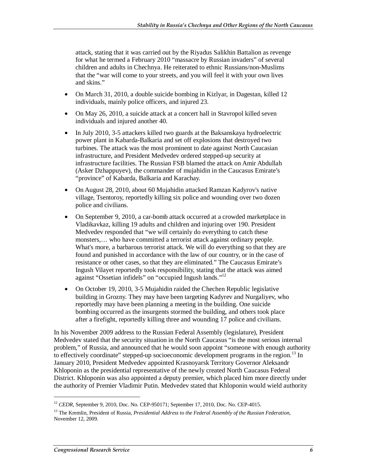attack, stating that it was carried out by the Riyadus Salikhin Battalion as revenge for what he termed a February 2010 "massacre by Russian invaders" of several children and adults in Chechnya. He reiterated to ethnic Russians/non-Muslims that the "war will come to your streets, and you will feel it with your own lives and skins."

- On March 31, 2010, a double suicide bombing in Kizlyar, in Dagestan, killed 12 individuals, mainly police officers, and injured 23.
- On May 26, 2010, a suicide attack at a concert hall in Stavropol killed seven individuals and injured another 40.
- In July 2010, 3-5 attackers killed two guards at the Baksanskaya hydroelectric power plant in Kabarda-Balkaria and set off explosions that destroyed two turbines. The attack was the most prominent to date against North Caucasian infrastructure, and President Medvedev ordered stepped-up security at infrastructure facilities. The Russian FSB blamed the attack on Amir Abdullah (Asker Dzhappuyev), the commander of mujahidin in the Caucasus Emirate's "province" of Kabarda, Balkaria and Karachay.
- On August 28, 2010, about 60 Mujahidin attacked Ramzan Kadyrov's native village, Tsentoroy, reportedly killing six police and wounding over two dozen police and civilians.
- On September 9, 2010, a car-bomb attack occurred at a crowded marketplace in Vladikavkaz, killing 19 adults and children and injuring over 190. President Medvedev responded that "we will certainly do everything to catch these monsters,… who have committed a terrorist attack against ordinary people. What's more, a barbarous terrorist attack. We will do everything so that they are found and punished in accordance with the law of our country, or in the case of resistance or other cases, so that they are eliminated." The Caucasus Emirate's Ingush Vilayet reportedly took responsibility, stating that the attack was aimed against "Ossetian infidels" on "occupied Ingush lands."<sup>12</sup>
- On October 19, 2010, 3-5 Mujahidin raided the Chechen Republic legislative building in Grozny. They may have been targeting Kadyrev and Nurgaliyev, who reportedly may have been planning a meeting in the building. One suicide bombing occurred as the insurgents stormed the building, and others took place after a firefight, reportedly killing three and wounding 17 police and civilians.

In his November 2009 address to the Russian Federal Assembly (legislature), President Medvedev stated that the security situation in the North Caucasus "is the most serious internal problem," of Russia, and announced that he would soon appoint "someone with enough authority to effectively coordinate" stepped-up socioeconomic development programs in the region.<sup>13</sup> In January 2010, President Medvedev appointed Krasnoyarsk Territory Governor Aleksandr Khloponin as the presidential representative of the newly created North Caucasus Federal District. Khloponin was also appointed a deputy premier, which placed him more directly under the authority of Premier Vladimir Putin. Medvedev stated that Khloponin would wield authority

<sup>&</sup>lt;sup>12</sup> *CEDR*. September 9, 2010, Doc. No. CEP-950171; September 17, 2010, Doc. No. CEP-4015.

<sup>13</sup> The Kremlin, President of Russia, *Presidential Address to the Federal Assembly of the Russian Federation*, November 12, 2009.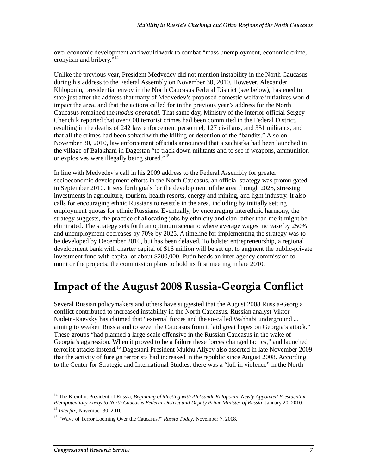over economic development and would work to combat "mass unemployment, economic crime, cronyism and bribery. $^{514}$ 

Unlike the previous year, President Medvedev did not mention instability in the North Caucasus during his address to the Federal Assembly on November 30, 2010. However, Alexander Khloponin, presidential envoy in the North Caucasus Federal District (see below), hastened to state just after the address that many of Medvedev's proposed domestic welfare initiatives would impact the area, and that the actions called for in the previous year's address for the North Caucasus remained the *modus operandi*. That same day, Ministry of the Interior official Sergey Chenchik reported that over 600 terrorist crimes had been committed in the Federal District, resulting in the deaths of 242 law enforcement personnel, 127 civilians, and 351 militants, and that all the crimes had been solved with the killing or detention of the "bandits." Also on November 30, 2010, law enforcement officials announced that a zachistka had been launched in the village of Balakhani in Dagestan "to track down militants and to see if weapons, ammunition or explosives were illegally being stored."<sup>15</sup>

In line with Medvedev's call in his 2009 address to the Federal Assembly for greater socioeconomic development efforts in the North Caucasus, an official strategy was promulgated in September 2010. It sets forth goals for the development of the area through 2025, stressing investments in agriculture, tourism, health resorts, energy and mining, and light industry. It also calls for encouraging ethnic Russians to resettle in the area, including by initially setting employment quotas for ethnic Russians. Eventually, by encouraging interethnic harmony, the strategy suggests, the practice of allocating jobs by ethnicity and clan rather than merit might be eliminated. The strategy sets forth an optimum scenario where average wages increase by 250% and unemployment decreases by 70% by 2025. A timeline for implementing the strategy was to be developed by December 2010, but has been delayed. To bolster entrepreneurship, a regional development bank with charter capital of \$16 million will be set up, to augment the public-private investment fund with capital of about \$200,000. Putin heads an inter-agency commission to monitor the projects; the commission plans to hold its first meeting in late 2010.

### **Impact of the August 2008 Russia-Georgia Conflict**

Several Russian policymakers and others have suggested that the August 2008 Russia-Georgia conflict contributed to increased instability in the North Caucasus. Russian analyst Viktor Nadein-Raevsky has claimed that "external forces and the so-called Wahhabi underground ... aiming to weaken Russia and to sever the Caucasus from it laid great hopes on Georgia's attack." These groups "had planned a large-scale offensive in the Russian Caucasus in the wake of Georgia's aggression. When it proved to be a failure these forces changed tactics," and launched terrorist attacks instead.<sup>16</sup> Dagestani President Mukhu Aliyev also asserted in late November 2009 that the activity of foreign terrorists had increased in the republic since August 2008. According to the Center for Strategic and International Studies, there was a "lull in violence" in the North

<sup>&</sup>lt;sup>14</sup> The Kremlin, President of Russia, *Beginning of Meeting with Aleksandr Khloponin*, Newly Appointed Presidential *Plenipotentiary Envoy to North Caucasus Federal District and Deputy Prime Minister of Russia*, January 20, 2010. 15 *Interfax*, November 30, 2010.

<sup>16 &</sup>quot;Wave of Terror Looming Over the Caucasus?" *Russia Today*, November 7, 2008.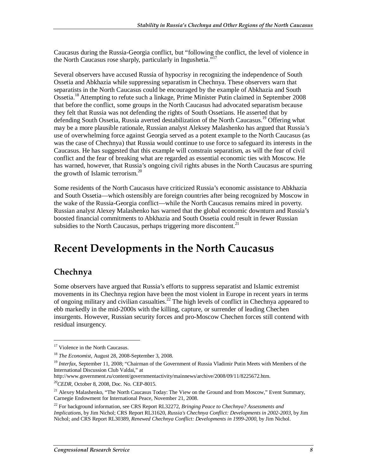Caucasus during the Russia-Georgia conflict, but "following the conflict, the level of violence in the North Caucasus rose sharply, particularly in Ingushetia."<sup>17</sup>

Several observers have accused Russia of hypocrisy in recognizing the independence of South Ossetia and Abkhazia while suppressing separatism in Chechnya. These observers warn that separatists in the North Caucasus could be encouraged by the example of Abkhazia and South Ossetia.<sup>18</sup> Attempting to refute such a linkage, Prime Minister Putin claimed in September 2008 that before the conflict, some groups in the North Caucasus had advocated separatism because they felt that Russia was not defending the rights of South Ossetians. He asserted that by defending South Ossetia, Russia averted destabilization of the North Caucasus.<sup>19</sup> Offering what may be a more plausible rationale, Russian analyst Aleksey Malashenko has argued that Russia's use of overwhelming force against Georgia served as a potent example to the North Caucasus (as was the case of Chechnya) that Russia would continue to use force to safeguard its interests in the Caucasus. He has suggested that this example will constrain separatism, as will the fear of civil conflict and the fear of breaking what are regarded as essential economic ties with Moscow. He has warned, however, that Russia's ongoing civil rights abuses in the North Caucasus are spurring the growth of Islamic terrorism.<sup>20</sup>

Some residents of the North Caucasus have criticized Russia's economic assistance to Abkhazia and South Ossetia—which ostensibly are foreign countries after being recognized by Moscow in the wake of the Russia-Georgia conflict—while the North Caucasus remains mired in poverty. Russian analyst Alexey Malashenko has warned that the global economic downturn and Russia's boosted financial commitments to Abkhazia and South Ossetia could result in fewer Russian subsidies to the North Caucasus, perhaps triggering more discontent.<sup>21</sup>

### **Recent Developments in the North Caucasus**

#### **Chechnya**

1

Some observers have argued that Russia's efforts to suppress separatist and Islamic extremist movements in its Chechnya region have been the most violent in Europe in recent years in terms of ongoing military and civilian casualties.<sup>22</sup> The high levels of conflict in Chechnya appeared to ebb markedly in the mid-2000s with the killing, capture, or surrender of leading Chechen insurgents. However, Russian security forces and pro-Moscow Chechen forces still contend with residual insurgency.

<sup>&</sup>lt;sup>17</sup> Violence in the North Caucasus.

<sup>18</sup> *The Economist*, August 28, 2008-September 3, 2008.

<sup>&</sup>lt;sup>19</sup> *Interfax*, September 11, 2008; "Chairman of the Government of Russia Vladimir Putin Meets with Members of the International Discussion Club Valdai," at

http://www.government.ru/content/governmentactivity/mainnews/archive/2008/09/11/8225672.htm. 20*CEDR*, October 8, 2008, Doc. No. CEP-8015.

<sup>&</sup>lt;sup>21</sup> Alexey Malashenko, "The North Caucasus Today: The View on the Ground and from Moscow," Event Summary, Carnegie Endowment for International Peace, November 21, 2008.

<sup>22</sup> For background information, see CRS Report RL32272, *Bringing Peace to Chechnya? Assessments and Implications*, by Jim Nichol; CRS Report RL31620, *Russia's Chechnya Conflict: Developments in 2002-2003*, by Jim Nichol; and CRS Report RL30389, *Renewed Chechnya Conflict: Developments in 1999-2000*, by Jim Nichol.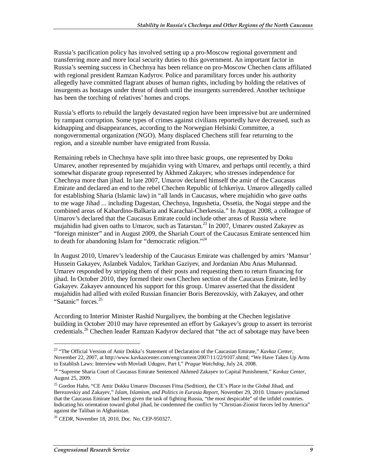Russia's pacification policy has involved setting up a pro-Moscow regional government and transferring more and more local security duties to this government. An important factor in Russia's seeming success in Chechnya has been reliance on pro-Moscow Chechen clans affiliated with regional president Ramzan Kadyrov. Police and paramilitary forces under his authority allegedly have committed flagrant abuses of human rights, including by holding the relatives of insurgents as hostages under threat of death until the insurgents surrendered. Another technique has been the torching of relatives' homes and crops.

Russia's efforts to rebuild the largely devastated region have been impressive but are undermined by rampant corruption. Some types of crimes against civilians reportedly have decreased, such as kidnapping and disappearances, according to the Norwegian Helsinki Committee, a nongovernmental organization (NGO). Many displaced Chechens still fear returning to the region, and a sizeable number have emigrated from Russia.

Remaining rebels in Chechnya have split into three basic groups, one represented by Doku Umarev, another represented by mujahidin vying with Umarev, and perhaps until recently, a third somewhat disparate group represented by Akhmed Zakayev, who stresses independence for Chechnya more than jihad. In late 2007, Umarov declared himself the amir of the Caucasus Emirate and declared an end to the rebel Chechen Republic of Ichkeriya. Umarov allegedly called for establishing Sharia (Islamic law) in "all lands in Caucasus, where mujahidin who gave oaths to me wage Jihad ... including Dagestan, Chechnya, Ingushetia, Ossetia, the Nogai steppe and the combined areas of Kabardino-Balkaria and Karachai-Cherkessia." In August 2008, a colleague of Umarov's declared that the Caucasus Emirate could include other areas of Russia where mujahidin had given oaths to Umarov, such as Tatarstan.<sup>23</sup> In 2007, Umarev ousted Zakayev as "foreign minister" and in August 2009, the Shariah Court of the Caucasus Emirate sentenced him to death for abandoning Islam for "democratic religion."<sup>24</sup>

In August 2010, Umarev's leadership of the Caucasus Emirate was challenged by amirs 'Mansur' Hussein Gakayev, Aslanbek Vadalov, Tarkhan Gaziyev, and Jordanian Abu Anas Muhannad. Umarev responded by stripping them of their posts and requesting them to return financing for jihad. In October 2010, they formed their own Chechen section of the Caucasus Emirate, led by Gakayev. Zakayev announced his support for this group. Umarev asserted that the dissident mujahidin had allied with exiled Russian financier Boris Berezovskiy, with Zakayev, and other "Satanic" forces.<sup>25</sup>

According to Interior Minister Rashid Nurgaliyev, the bombing at the Chechen legislative building in October 2010 may have represented an effort by Gakayev's group to assert its terrorist credentials.<sup>26</sup> Chechen leader Ramzan Kadyrov declared that "the act of sabotage may have been

<sup>23 &</sup>quot;The Official Version of Amir Dokka's Statement of Declaration of the Caucasian Emirate," *Kavkaz Center*, November 22, 2007, at http://www.kavkazcenter.com/eng/content/2007/11/22/9107.shtml; "We Have Taken Up Arms to Establish Laws: Interview with Movladi Udugov, Part I," *Prague Watchdog*, July 24, 2008.

<sup>24 &</sup>quot;Supreme Sharia Court of Caucasus Emirate Sentenced Akhmed Zakayev to Capital Punishment," *Kavkaz Center*, August 25, 2009.

<sup>&</sup>lt;sup>25</sup> Gordon Hahn, "CE Amir Dokku Umarov Discusses Fitna (Sedition), the CE's Place in the Global Jihad, and Berezovskiy and Zakayev," *Islam, Islamism, and Politics in Eurasia Report*, November 29, 2010. Umarev proclaimed that the Caucasus Emirate had been given the task of fighting Russia, "the most despicable" of the infidel countries. Indicating his orientation toward global jihad, he condemned the conflict by "Christian-Zionist forces led by America" against the Taliban in Afghanistan.

<sup>26</sup> *CEDR*, November 18, 2010, Doc. No. CEP-950327.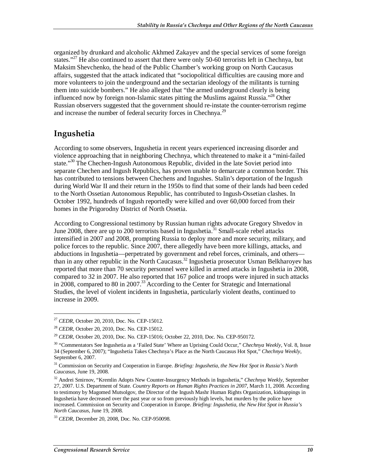organized by drunkard and alcoholic Akhmed Zakayev and the special services of some foreign states."<sup>27</sup> He also continued to assert that there were only 50-60 terrorists left in Chechnya, but Maksim Shevchenko, the head of the Public Chamber's working group on North Caucasus affairs, suggested that the attack indicated that "sociopolitical difficulties are causing more and more volunteers to join the underground and the sectarian ideology of the militants is turning them into suicide bombers." He also alleged that "the armed underground clearly is being influenced now by foreign non-Islamic states pitting the Muslims against Russia."<sup>28</sup> Other Russian observers suggested that the government should re-instate the counter-terrorism regime and increase the number of federal security forces in Chechnya.<sup>29</sup>

#### **Ingushetia**

According to some observers, Ingushetia in recent years experienced increasing disorder and violence approaching that in neighboring Chechnya, which threatened to make it a "mini-failed state."30 The Chechen-Ingush Autonomous Republic, divided in the late Soviet period into separate Chechen and Ingush Republics, has proven unable to demarcate a common border. This has contributed to tensions between Chechens and Ingushes. Stalin's deportation of the Ingush during World War II and their return in the 1950s to find that some of their lands had been ceded to the North Ossetian Autonomous Republic, has contributed to Ingush-Ossetian clashes. In October 1992, hundreds of Ingush reportedly were killed and over 60,000 forced from their homes in the Prigorodny District of North Ossetia.

According to Congressional testimony by Russian human rights advocate Gregory Shvedov in June 2008, there are up to 200 terrorists based in Ingushetia.<sup>31</sup> Small-scale rebel attacks intensified in 2007 and 2008, prompting Russia to deploy more and more security, military, and police forces to the republic. Since 2007, there allegedly have been more killings, attacks, and abductions in Ingushetia—perpetrated by government and rebel forces, criminals, and others than in any other republic in the North Caucasus.<sup>32</sup> Ingushetia prosecutor Usman Belkharoyev has reported that more than 70 security personnel were killed in armed attacks in Ingushetia in 2008, compared to 32 in 2007. He also reported that 167 police and troops were injured in such attacks in 2008, compared to 80 in 2007.<sup>33</sup> According to the Center for Strategic and International Studies, the level of violent incidents in Ingushetia, particularly violent deaths, continued to increase in 2009.

<sup>27</sup> *CEDR*, October 20, 2010, Doc. No. CEP-15012.

<sup>&</sup>lt;sup>28</sup> *CEDR*, October 20, 2010, Doc. No. CEP-15012.<br><sup>29</sup> *CEDR*, October 20, 2010, Doc. No. CEP-15016; October 22, 2010, Doc. No. CEP-950172.

<sup>30 &</sup>quot;Commentators See Ingushetia as a 'Failed State' Where an Uprising Could Occur," *Chechnya Weekly*, Vol. 8, Issue 34 (September 6, 2007); "Ingushetia Takes Chechnya's Place as the North Caucasus Hot Spot," *Chechnya Weekly*, September 6, 2007.

<sup>31</sup> Commission on Security and Cooperation in Europe. *Briefing: Ingushetia, the New Hot Spot in Russia's North Caucasus*, June 19, 2008.

<sup>32</sup> Andrei Smirnov, "Kremlin Adopts New Counter-Insurgency Methods in Ingushetia," *Chechnya Weekly*, September 27, 2007. U.S. Department of State. *Country Reports on Human Rights Practices in 2007*, March 11, 2008. According to testimony by Magomed Mutsolgov, the Director of the Ingush Mashr Human Rights Organization, kidnappings in Ingushetia have decreased over the past year or so from previously high levels, but murders by the police have increased. Commission on Security and Cooperation in Europe. *Briefing: Ingushetia, the New Hot Spot in Russia's North Caucasus*, June 19, 2008.

<sup>33</sup> *CEDR*, December 20, 2008, Doc. No. CEP-950098.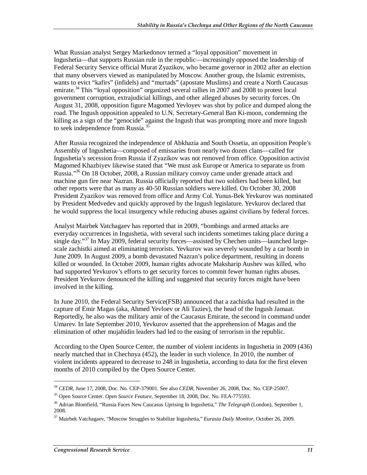What Russian analyst Sergey Markedonov termed a "loyal opposition" movement in Ingushetia—that supports Russian rule in the republic—increasingly opposed the leadership of Federal Security Service official Murat Zyazikov, who became governor in 2002 after an election that many observers viewed as manipulated by Moscow. Another group, the Islamic extremists, wants to evict "kafirs" (infidels) and "murtads" (apostate Muslims) and create a North Caucasus emirate.<sup>34</sup> This "loyal opposition" organized several rallies in 2007 and 2008 to protest local government corruption, extrajudicial killings, and other alleged abuses by security forces. On August 31, 2008, opposition figure Magomed Yevloyev was shot by police and dumped along the road. The Ingush opposition appealed to U.N. Secretary-General Ban Ki-moon, condemning the killing as a sign of the "genocide" against the Ingush that was prompting more and more Ingush to seek independence from Russia.<sup>3</sup>

After Russia recognized the independence of Abkhazia and South Ossetia, an opposition People's Assembly of Ingushetia—composed of emissaries from nearly two dozen clans—called for Ingushetia's secession from Russia if Zyazikov was not removed from office. Opposition activist Magomed Khazbiyev likewise stated that "We must ask Europe or America to separate us from Russia."36 On 18 October, 2008, a Russian military convoy came under grenade attack and machine gun fire near Nazran. Russia officially reported that two soldiers had been killed, but other reports were that as many as 40-50 Russian soldiers were killed. On October 30, 2008 President Zyazikov was removed from office and Army Col. Yunus-Bek Yevkurov was nominated by President Medvedev and quickly approved by the Ingush legislature. Yevkurov declared that he would suppress the local insurgency while reducing abuses against civilians by federal forces.

Analyst Mairbek Vatchagaev has reported that in 2009, "bombings and armed attacks are everyday occurrences in Ingushetia, with several such incidents sometimes taking place during a single day."<sup>37</sup> In May 2009, federal security forces—assisted by Chechen units—launched largescale zachistki aimed at eliminating terrorists. Yevkurov was severely wounded by a car bomb in June 2009. In August 2009, a bomb devastated Nazran's police department, resulting in dozens killed or wounded. In October 2009, human rights advocate Maksharip Aushev was killed, who had supported Yevkurov's efforts to get security forces to commit fewer human rights abuses. President Yevkurov denounced the killing and suggested that security forces might have been involved in the killing.

In June 2010, the Federal Security Service(FSB) announced that a zachistka had resulted in the capture of Emir Magas (aka, Ahmed Yevloev or Ali Taziev), the head of the Ingush Jamaat. Reportedly, he also was the military amir of the Caucasus Emirate, the second in command under Umarev. In late September 2010, Yevkurov asserted that the apprehension of Magas and the elimination of other mujahidin leaders had led to the easing of terrorism in the republic.

According to the Open Source Center, the number of violent incidents in Ingushetia in 2009 (436) nearly matched that in Chechnya (452), the leader in such violence. In 2010, the number of violent incidents appeared to decrease to 248 in Ingushetia, according to data for the first eleven months of 2010 compiled by the Open Source Center.

<sup>34</sup> *CEDR*, June 17, 2008, Doc. No. CEP-379001. See also *CEDR*, November 26, 2008, Doc. No. CEP-25007.

<sup>35</sup> Open Source Center. *Open Source Feature*, September 18, 2008, Doc. No. FEA-775593.

<sup>36</sup> Adrian Blomfield, "Russia Faces New Caucasus Uprising In Ingushetia," *The Telegraph* (London), September 1, 2008.

<sup>37</sup> Mairbek Vatchagaev, "Moscow Struggles to Stabilize Ingushetia," *Eurasia Daily Monitor*, October 26, 2009.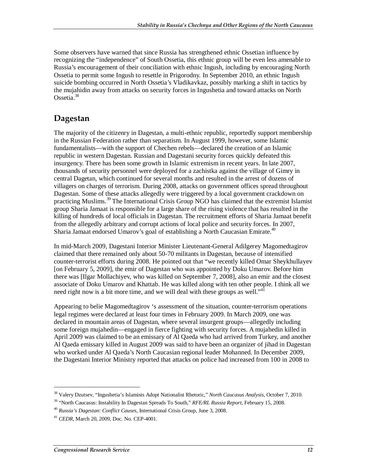Some observers have warned that since Russia has strengthened ethnic Ossetian influence by recognizing the "independence" of South Ossetia, this ethnic group will be even less amenable to Russia's encouragement of their conciliation with ethnic Ingush, including by encouraging North Ossetia to permit some Ingush to resettle in Prigorodny. In September 2010, an ethnic Ingush suicide bombing occurred in North Ossetia's Vladikavkaz, possibly marking a shift in tactics by the mujahidin away from attacks on security forces in Ingushetia and toward attacks on North Ossetia.<sup>38</sup>

### **Dagestan**

The majority of the citizenry in Dagestan, a multi-ethnic republic, reportedly support membership in the Russian Federation rather than separatism. In August 1999, however, some Islamic fundamentalists—with the support of Chechen rebels—declared the creation of an Islamic republic in western Dagestan. Russian and Dagestani security forces quickly defeated this insurgency. There has been some growth in Islamic extremism in recent years. In late 2007, thousands of security personnel were deployed for a zachistka against the village of Gimry in central Dagetan, which continued for several months and resulted in the arrest of dozens of villagers on charges of terrorism. During 2008, attacks on government offices spread throughout Dagestan. Some of these attacks allegedly were triggered by a local government crackdown on practicing Muslims.<sup>39</sup> The International Crisis Group NGO has claimed that the extremist Islamist group Sharia Jamaat is responsible for a large share of the rising violence that has resulted in the killing of hundreds of local officials in Dagestan. The recruitment efforts of Sharia Jamaat benefit from the allegedly arbitrary and corrupt actions of local police and security forces. In 2007, Sharia Jamaat endorsed Umarov's goal of establishing a North Caucasian Emirate.<sup>40</sup>

In mid-March 2009, Dagestani Interior Minister Lieutenant-General Adilgerey Magomedtagirov claimed that there remained only about 50-70 militants in Dagestan, because of intensified counter-terrorist efforts during 2008. He pointed out that "we recently killed Omar Sheykhullayev [on February 5, 2009], the emir of Dagestan who was appointed by Doku Umarov. Before him there was [Ilgar Mollachiyev, who was killed on September 7, 2008], also an emir and the closest associate of Doku Umarov and Khattab. He was killed along with ten other people. I think all we need right now is a bit more time, and we will deal with these groups as well."<sup>41</sup>

Appearing to belie Magomedtagirov 's assessment of the situation, counter-terrorism operations legal regimes were declared at least four times in February 2009. In March 2009, one was declared in mountain areas of Dagestan, where several insurgent groups—allegedly including some foreign mujahedin—engaged in fierce fighting with security forces. A mujahedin killed in April 2009 was claimed to be an emissary of Al Qaeda who had arrived from Turkey, and another Al Qaeda emissary killed in August 2009 was said to have been an organizer of jihad in Dagestan who worked under Al Qaeda's North Caucasian regional leader Mohanned. In December 2009, the Dagestani Interior Ministry reported that attacks on police had increased from 100 in 2008 to

<sup>38</sup> Valery Dzutsev, "Ingushetia's Islamists Adopt Nationalist Rhetoric," *North Caucasus Analysis*, October 7, 2010.

<sup>39 &</sup>quot;North Caucasus: Instability In Dagestan Spreads To South," *RFE/RL Russia Report*, February 15, 2008.

<sup>40</sup> *Russia's Dagestan: Conflict Causes*, International Crisis Group, June 3, 2008.

<sup>41</sup> *CEDR*, March 20, 2009, Doc. No. CEP-4001.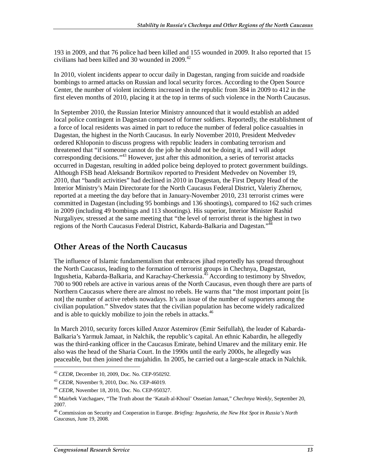193 in 2009, and that 76 police had been killed and 155 wounded in 2009. It also reported that 15 civilians had been killed and 30 wounded in  $2009$ <sup>42</sup>

In 2010, violent incidents appear to occur daily in Dagestan, ranging from suicide and roadside bombings to armed attacks on Russian and local security forces. According to the Open Source Center, the number of violent incidents increased in the republic from 384 in 2009 to 412 in the first eleven months of 2010, placing it at the top in terms of such violence in the North Caucasus.

In September 2010, the Russian Interior Ministry announced that it would establish an added local police contingent in Dagestan composed of former soldiers. Reportedly, the establishment of a force of local residents was aimed in part to reduce the number of federal police casualties in Dagestan, the highest in the North Caucasus. In early November 2010, President Medvedev ordered Khloponin to discuss progress with republic leaders in combating terrorism and threatened that "if someone cannot do the job he should not be doing it, and I will adopt corresponding decisions."<sup>43</sup> However, just after this admonition, a series of terrorist attacks occurred in Dagestan, resulting in added police being deployed to protect government buildings. Although FSB head Aleksandr Bortnikov reported to President Medvedev on November 19, 2010, that "bandit activities" had declined in 2010 in Dagestan, the First Deputy Head of the Interior Ministry's Main Directorate for the North Caucasus Federal District, Valeriy Zhernov, reported at a meeting the day before that in January-November 2010, 231 terrorist crimes were committed in Dagestan (including 95 bombings and 136 shootings), compared to 162 such crimes in 2009 (including 49 bombings and 113 shootings). His superior, Interior Minister Rashid Nurgaliyev, stressed at the same meeting that "the level of terrorist threat is the highest in two regions of the North Caucasus Federal District, Kabarda-Balkaria and Dagestan."<sup>4</sup>

#### **Other Areas of the North Caucasus**

The influence of Islamic fundamentalism that embraces jihad reportedly has spread throughout the North Caucasus, leading to the formation of terrorist groups in Chechnya, Dagestan, Ingushetia, Kabarda-Balkaria, and Karachay-Cherkessia.45 According to testimony by Shvedov, 700 to 900 rebels are active in various areas of the North Caucasus, even though there are parts of Northern Caucasus where there are almost no rebels. He warns that "the most important point [is not] the number of active rebels nowadays. It's an issue of the number of supporters among the civilian population." Shvedov states that the civilian population has become widely radicalized and is able to quickly mobilize to join the rebels in attacks.  $46$ 

In March 2010, security forces killed Anzor Astemirov (Emir Seifullah), the leader of Kabarda-Balkaria's Yarmuk Jamaat, in Nalchik, the republic's capital. An ethnic Kabardin, he allegedly was the third-ranking officer in the Caucasus Emirate, behind Umarev and the military emir. He also was the head of the Sharia Court. In the 1990s until the early 2000s, he allegedly was peaceable, but then joined the mujahidin. In 2005, he carried out a large-scale attack in Nalchik.

<sup>42</sup> *CEDR*, December 10, 2009, Doc. No. CEP-950292.

<sup>43</sup> *CEDR*, November 9, 2010, Doc. No. CEP-46019. 44 *CEDR*, November 18, 2010, Doc. No. CEP-950327.

<sup>45</sup> Mairbek Vatchagaev, "The Truth about the 'Kataib al-Khoul' Ossetian Jamaat," *Chechnya Weekly*, September 20, 2007.

<sup>46</sup> Commission on Security and Cooperation in Europe. *Briefing: Ingushetia, the New Hot Spot in Russia's North Caucasus*, June 19, 2008.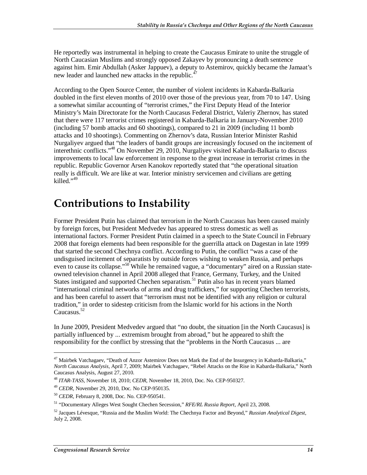He reportedly was instrumental in helping to create the Caucasus Emirate to unite the struggle of North Caucasian Muslims and strongly opposed Zakayev by pronouncing a death sentence against him. Emir Abdullah (Asker Jappuev), a deputy to Astemirov, quickly became the Jamaat's new leader and launched new attacks in the republic.<sup>47</sup>

According to the Open Source Center, the number of violent incidents in Kabarda-Balkaria doubled in the first eleven months of 2010 over those of the previous year, from 70 to 147. Using a somewhat similar accounting of "terrorist crimes," the First Deputy Head of the Interior Ministry's Main Directorate for the North Caucasus Federal District, Valeriy Zhernov, has stated that there were 117 terrorist crimes registered in Kabarda-Balkaria in January-November 2010 (including 57 bomb attacks and 60 shootings), compared to 21 in 2009 (including 11 bomb attacks and 10 shootings). Commenting on Zhernov's data, Russian Interior Minister Rashid Nurgaliyev argued that "the leaders of bandit groups are increasingly focused on the incitement of interethnic conflicts."48 On November 29, 2010, Nurgaliyev visited Kabarda-Balkaria to discuss improvements to local law enforcement in response to the great increase in terrorist crimes in the republic. Republic Governor Arsen Kanokov reportedly stated that "the operational situation really is difficult. We are like at war. Interior ministry servicemen and civilians are getting killed."<sup>49</sup>

### **Contributions to Instability**

Former President Putin has claimed that terrorism in the North Caucasus has been caused mainly by foreign forces, but President Medvedev has appeared to stress domestic as well as international factors. Former President Putin claimed in a speech to the State Council in February 2008 that foreign elements had been responsible for the guerrilla attack on Dagestan in late 1999 that started the second Chechnya conflict. According to Putin, the conflict "was a case of the undisguised incitement of separatists by outside forces wishing to weaken Russia, and perhaps even to cause its collapse."<sup>50</sup> While he remained vague, a "documentary" aired on a Russian stateowned television channel in April 2008 alleged that France, Germany, Turkey, and the United States instigated and supported Chechen separatism.<sup>51</sup> Putin also has in recent years blamed "international criminal networks of arms and drug traffickers," for supporting Chechen terrorists, and has been careful to assert that "terrorism must not be identified with any religion or cultural tradition," in order to sidestep criticism from the Islamic world for his actions in the North Caucasus.<sup>52</sup>

In June 2009, President Medvedev argued that "no doubt, the situation [in the North Caucasus] is partially influenced by ... extremism brought from abroad," but he appeared to shift the responsibility for the conflict by stressing that the "problems in the North Caucasus ... are

<sup>&</sup>lt;sup>47</sup> Mairbek Vatchagaev, "Death of Anzor Astemirov Does not Mark the End of the Insurgency in Kabarda-Balkaria," *North Caucasus Analysis*, April 7, 2009; Mairbek Vatchagaev, "Rebel Attacks on the Rise in Kabarda-Balkaria," North Caucasus Analysis, August 27, 2010.

<sup>48</sup> *ITAR-TASS*, November 18, 2010; *CEDR*, November 18, 2010, Doc. No. CEP-950327.

<sup>49</sup> *CEDR*, November 29, 2010, Doc. No CEP-950135.

<sup>50</sup> *CEDR*, February 8, 2008, Doc. No. CEP-950541.

<sup>51 &</sup>quot;Documentary Alleges West Sought Chechen Secession," *RFE/RL Russia Report*, April 23, 2008.

<sup>52</sup> Jacques Lévesque, "Russia and the Muslim World: The Chechnya Factor and Beyond," *Russian Analytical Digest*, July 2, 2008.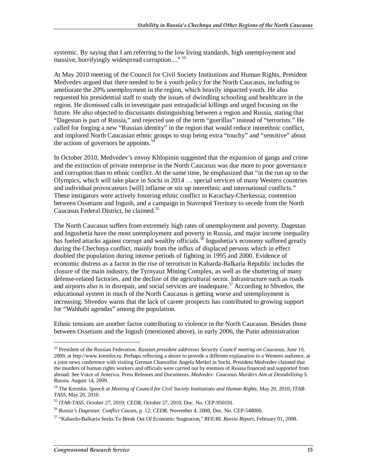systemic. By saying that I am referring to the low living standards, high unemployment and massive, horrifyingly widespread corruption...."<sup>53</sup>

At May 2010 meeting of the Council for Civil Society Institutions and Human Rights, President Medvedev argued that there needed to be a youth policy for the North Caucasus, including to ameliorate the 20% unemployment in the region, which heavily impacted youth. He also requested his presidential staff to study the issues of dwindling schooling and healthcare in the region. He dismissed calls to investigate past extrajudicial killings and urged focusing on the future. He also objected to discussants distinguishing between a region and Russia, stating that "Dagestan is part of Russia," and rejected use of the term "guerillas" instead of "terrorists." He called for forging a new "Russian identity" in the region that would reduce interethnic conflict, and implored North Caucasian ethnic groups to stop being extra "touchy" and "sensitive" about the actions of governors he appoints. $54$ 

In October 2010, Medvedev's envoy Khlopinin suggested that the expansion of gangs and crime and the extinction of private enterprise in the North Caucasus was due more to poor governance and corruption than to ethnic conflict. At the same time, he emphasized that "in the run up to the Olympics, which will take place in Sochi in 2014 … special services of many Western countries and individual provocateurs [will] inflame or stir up interethnic and international conflicts." These instigators were actively fostering ethnic conflict in Karachay-Cherkessia, contention between Ossetians and Ingush, and a campaign in Stavropol Territory to secede from the North Caucasus Federal District, he claimed.<sup>55</sup>

The North Caucasus suffers from extremely high rates of unemployment and poverty. Dagestan and Ingushetia have the most unemployment and poverty in Russia, and major income inequality has fueled attacks against corrupt and wealthy officials.<sup>56</sup> Ingushetia's economy suffered greatly during the Chechnya conflict, mainly from the influx of displaced persons which in effect doubled the population during intense periods of fighting in 1995 and 2000. Evidence of economic distress as a factor in the rise of terrorism in Kabarda-Balkaria Republic includes the closure of the main industry, the Tyrnyauz Mining Complex, as well as the shuttering of many defense-related factories, and the decline of the agricultural sector. Infrastructure such as roads and airports also is in disrepair, and social services are inadequate.<sup>57</sup> According to Shvedov, the educational system in much of the North Caucasus is getting worse and unemployment is increasing. Shvedov warns that the lack of career prospects has contributed to growing support for "Wahhabi agendas" among the population.

Ethnic tensions are another factor contributing to violence in the North Caucasus. Besides those between Ossetians and the Ingush (mentioned above), in early 2006, the Putin administration

<sup>53</sup> President of the Russian Federation. *Russian president addresses Security Council meeting on Caucasus*, June 10, 2009, at http://www.kremlin.ru. Perhaps reflecting a desire to provide a different explanation to a Western audience, at a joint news conference with visiting German Chancellor Angela Merkel in Sochi, President Medvedev claimed that the murders of human rights workers and officials were carried out by enemies of Russia financed and supported from abroad. See Voice of America. Press Releases and Documents. *Medvedev: Caucasus Murders Aim at Destabilizing S. Russia*, August 14, 2009.

<sup>54</sup> The Kremlin. *Speech at Meeting of Council for Civil Society Institutions and Human Rights*, May 20, 2010*; ITAR-TASS*, May 20, 2010.

<sup>55</sup> *ITAR-TASS*, October 27, 2010; *CEDR*, October 27, 2010, Doc. No. CEP-950191.

<sup>56</sup> *Russia's Dagestan: Conflict Causes*, p. 12; *CEDR*, November 4, 2008, Doc. No. CEP-548006.

<sup>57 &</sup>quot;Kabardo-Balkaria Seeks To Break Out Of Economic Stagnation," *RFE/RL Russia Report*, February 01, 2008.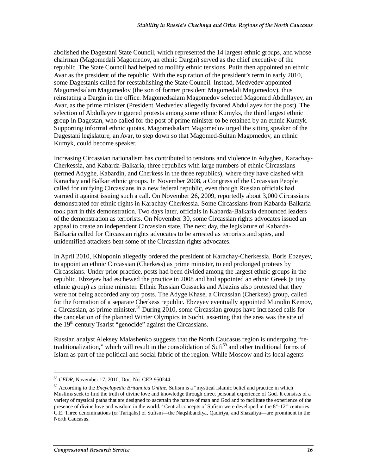abolished the Dagestani State Council, which represented the 14 largest ethnic groups, and whose chairman (Magomedali Magomedov, an ethnic Dargin) served as the chief executive of the republic. The State Council had helped to mollify ethnic tensions. Putin then appointed an ethnic Avar as the president of the republic. With the expiration of the president's term in early 2010, some Dagestanis called for reestablishing the State Council. Instead, Medvedev appointed Magomedsalam Magomedov (the son of former president Magomedali Magomedov), thus reinstating a Dargin in the office. Magomedsalam Magomedov selected Magomed Abdullayev, an Avar, as the prime minister (President Medvedev allegedly favored Abdullayev for the post). The selection of Abdullayev triggered protests among some ethnic Kumyks, the third largest ethnic group in Dagestan, who called for the post of prime minister to be retained by an ethnic Kumyk. Supporting informal ethnic quotas, Magomedsalam Magomedov urged the sitting speaker of the Dagestani legislature, an Avar, to step down so that Magomed-Sultan Magomedov, an ethnic Kumyk, could become speaker.

Increasing Circassian nationalism has contributed to tensions and violence in Adyghea, Karachay-Cherkessia, and Kabarda-Balkaria, three republics with large numbers of ethnic Circassians (termed Adyghe, Kabardin, and Cherkess in the three republics), where they have clashed with Karachay and Balkar ethnic groups. In November 2008, a Congress of the Circassian People called for unifying Circassians in a new federal republic, even though Russian officials had warned it against issuing such a call. On November 26, 2009, reportedly about 3,000 Circassians demonstrated for ethnic rights in Karachay-Cherkessia. Some Circassians from Kabarda-Balkaria took part in this demonstration. Two days later, officials in Kabarda-Balkaria denounced leaders of the demonstration as terrorists. On November 30, some Circassian rights advocates issued an appeal to create an independent Circassian state. The next day, the legislature of Kabarda-Balkaria called for Circassian rights advocates to be arrested as terrorists and spies, and unidentified attackers beat some of the Circassian rights advocates.

In April 2010, Khloponin allegedly ordered the president of Karachay-Cherkessia, Boris Ebzeyev, to appoint an ethnic Circassian (Cherkess) as prime minister, to end prolonged protests by Circassians. Under prior practice, posts had been divided among the largest ethnic groups in the republic. Ebzeyev had eschewed the practice in 2008 and had appointed an ethnic Greek (a tiny ethnic group) as prime minister. Ethnic Russian Cossacks and Abazins also protested that they were not being accorded any top posts. The Adyge Khase, a Circassian (Cherkess) group, called for the formation of a separate Cherkess republic. Ebzeyev eventually appointed Muradin Kemov, a Circassian, as prime minister.<sup>58</sup> During 2010, some Circassian groups have increased calls for the cancelation of the planned Winter Olympics in Sochi, asserting that the area was the site of the  $19<sup>th</sup>$  century Tsarist "genocide" against the Circassians.

Russian analyst Aleksey Malashenko suggests that the North Caucasus region is undergoing "retraditionalization," which will result in the consolidation of Sufi<sup>59</sup> and other traditional forms of Islam as part of the political and social fabric of the region. While Moscow and its local agents

<sup>58</sup> *CEDR*, November 17, 2010, Doc. No. CEP-950244.

<sup>59</sup> According to the *Encyclopedia Britannica Online*, Sufism is a "mystical Islamic belief and practice in which Muslims seek to find the truth of divine love and knowledge through direct personal experience of God. It consists of a variety of mystical paths that are designed to ascertain the nature of man and God and to facilitate the experience of the presence of divine love and wisdom in the world." Central concepts of Sufism were developed in the  $8<sup>th</sup>$ -12<sup>th</sup> centuries C.E. Three denominations (or Tariqahs) of Sufism—the Naqshbandiya, Qadiriya, and Shazaliya—are prominent in the North Caucasus.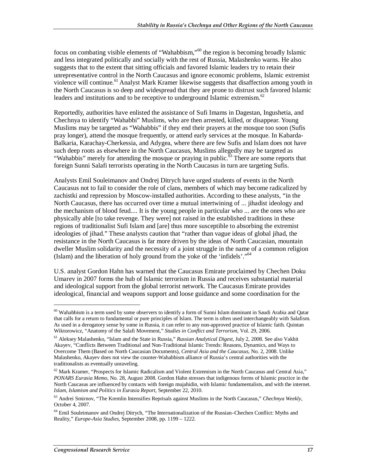focus on combating visible elements of "Wahabbism,"60 the region is becoming broadly Islamic and less integrated politically and socially with the rest of Russia, Malashenko warns. He also suggests that to the extent that sitting officials and favored Islamic leaders try to retain their unrepresentative control in the North Caucasus and ignore economic problems, Islamic extremist violence will continue.<sup>61</sup> Analyst Mark Kramer likewise suggests that disaffection among youth in the North Caucasus is so deep and widespread that they are prone to distrust such favored Islamic leaders and institutions and to be receptive to underground Islamic extremism.<sup>62</sup>

Reportedly, authorities have enlisted the assistance of Sufi Imams in Dagestan, Ingushetia, and Chechnya to identify "Wahabbi" Muslims, who are then arrested, killed, or disappear. Young Muslims may be targeted as "Wahabbis" if they end their prayers at the mosque too soon (Sufis pray longer), attend the mosque frequently, or attend early services at the mosque. In Kabarda-Balkaria, Karachay-Cherkessia, and Adygea, where there are few Sufis and Islam does not have such deep roots as elsewhere in the North Caucasus, Muslims allegedly may be targeted as "Wahabbis" merely for attending the mosque or praying in public.<sup>63</sup> There are some reports that foreign Sunni Salafi terrorists operating in the North Caucasus in turn are targeting Sufis.

Analysts Emil Souleimanov and Ondrej Ditrych have urged students of events in the North Caucasus not to fail to consider the role of clans, members of which may become radicalized by zachistki and repression by Moscow-installed authorities. According to these analysts, "in the North Caucasus, there has occurred over time a mutual intertwining of ... jihadist ideology and the mechanism of blood feud.... It is the young people in particular who ... are the ones who are physically able [to take revenge. They were] not raised in the established traditions in these regions of traditionalist Sufi Islam and [are] thus more susceptible to absorbing the extremist ideologies of jihad." These analysts caution that "rather than vague ideas of global jihad, the resistance in the North Caucasus is far more driven by the ideas of North Caucasian, mountain dweller Muslim solidarity and the necessity of a joint struggle in the name of a common religion (Islam) and the liberation of holy ground from the yoke of the 'infidels'."64

U.S. analyst Gordon Hahn has warned that the Caucasus Emirate proclaimed by Chechen Doku Umarev in 2007 forms the hub of Islamic terrorism in Russia and receives substantial material and ideological support from the global terrorist network. The Caucasus Emirate provides ideological, financial and weapons support and loose guidance and some coordination for the

 $60$  Wahabbism is a term used by some observers to identify a form of Sunni Islam dominant in Saudi Arabia and Qatar that calls for a return to fundamental or pure principles of Islam. The term is often used interchangeably with Salafism. As used in a derogatory sense by some in Russia, it can refer to any non-approved practice of Islamic faith. Quintan Wiktorowicz, "Anatomy of the Salafi Movement," *Studies in Conflict and Terrorism*, Vol. 29, 2006.

<sup>61</sup> Aleksey Malashenko, "Islam and the State in Russia," *Russian Analytical Digest*, July 2, 2008. See also Vakhit Akayev, "Conflicts Between Traditional and Non-Traditional Islamic Trends: Reasons, Dynamics, and Ways to Overcome Them (Based on North Caucasian Documents), *Central Asia and the Caucasus*, No. 2, 2008. Unlike Malashenko, Akayev does not view the counter-Wahabbism alliance of Russia's central authorities with the traditionalists as eventually unraveling.

 $62$  Mark Kramer, "Prospects for Islamic Radicalism and Violent Extremism in the North Caucasus and Central Asia," *PONARS Eurasia Memo*, No. 28, August 2008. Gordon Hahn stresses that indigenous forms of Islamic practice in the North Caucasus are influenced by contacts with foreign mujahidin, with Islamic fundamentalists, and with the internet. *Islam, Islamism and Politics in Eurasia Report*, September 22, 2010.

<sup>63</sup> Andrei Smirnov, "The Kremlin Intensifies Reprisals against Muslims in the North Caucasus," *Chechnya Weekly*, October 4, 2007.

<sup>64</sup> Emil Souleimanov and Ondrej Ditrych, "The Internationalization of the Russian–Chechen Conflict: Myths and Reality," *Europe-Asia Studies*, September 2008, pp. 1199 – 1222.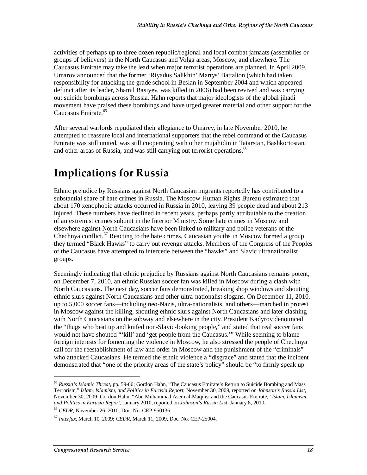activities of perhaps up to three dozen republic/regional and local combat jamaats (assemblies or groups of believers) in the North Caucasus and Volga areas, Moscow, and elsewhere. The Caucasus Emirate may take the lead when major terrorist operations are planned. In April 2009, Umarov announced that the former 'Riyadus Salikhin' Martys' Battalion (which had taken responsibility for attacking the grade school in Beslan in September 2004 and which appeared defunct after its leader, Shamil Basiyev, was killed in 2006) had been revived and was carrying out suicide bombings across Russia. Hahn reports that major ideologists of the global jihadi movement have praised these bombings and have urged greater material and other support for the Caucasus Emirate.<sup>65</sup>

After several warlords repudiated their allegiance to Umarev, in late November 2010, he attempted to reassure local and international supporters that the rebel command of the Caucasus Emirate was still united, was still cooperating with other mujahidin in Tatarstan, Bashkortostan, and other areas of Russia, and was still carrying out terrorist operations.<sup>66</sup>

### **Implications for Russia**

Ethnic prejudice by Russians against North Caucasian migrants reportedly has contributed to a substantial share of hate crimes in Russia. The Moscow Human Rights Bureau estimated that about 170 xenophobic attacks occurred in Russia in 2010, leaving 39 people dead and about 213 injured. These numbers have declined in recent years, perhaps partly attributable to the creation of an extremist crimes subunit in the Interior Ministry. Some hate crimes in Moscow and elsewhere against North Caucasians have been linked to military and police veterans of the Chechnya conflict.<sup>67</sup> Reacting to the hate crimes, Caucasian youths in Moscow formed a group they termed "Black Hawks" to carry out revenge attacks. Members of the Congress of the Peoples of the Caucasus have attempted to intercede between the "hawks" and Slavic ultranationalist groups.

Seemingly indicating that ethnic prejudice by Russians against North Caucasians remains potent, on December 7, 2010, an ethnic Russian soccer fan was killed in Moscow during a clash with North Caucasians. The next day, soccer fans demonstrated, breaking shop windows and shouting ethnic slurs against North Caucasians and other ultra-nationalist slogans. On December 11, 2010, up to 5,000 soccer fans—including neo-Nazis, ultra-nationalists, and others—marched in protest in Moscow against the killing, shouting ethnic slurs against North Caucasians and later clashing with North Caucasians on the subway and elsewhere in the city. President Kadyrov denounced the "thugs who beat up and knifed non-Slavic-looking people," and stated that real soccer fans would not have shouted "'kill' and 'get people from the Caucasus.'" While seeming to blame foreign interests for fomenting the violence in Moscow, he also stressed the people of Chechnya call for the reestablishment of law and order in Moscow and the punishment of the "criminals" who attacked Caucasians. He termed the ethnic violence a "disgrace" and stated that the incident demonstrated that "one of the priority areas of the state's policy" should be "to firmly speak up

<sup>65</sup> *Russia's Islamic Threat*, pp. 59-66; Gordon Hahn, "The Caucasus Emirate's Return to Suicide Bombing and Mass Terrorism," *Islam, Islamism, and Politics in Eurasia Report*, November 30, 2009, reported on *Johnson's Russia List*, November 30, 2009; Gordon Hahn, "Abu Muhammad Asem al-Maqdisi and the Caucasus Emirate," *Islam, Islamism, and Politics in Eurasia Report*, January 2010, reported on *Johnson's Russia List*, January 8, 2010. 66 *CEDR*, November 26, 2010, Doc. No. CEP-950136.

<sup>67</sup> *Interfax*, March 10, 2009; *CEDR*, March 11, 2009, Doc. No. CEP-25004.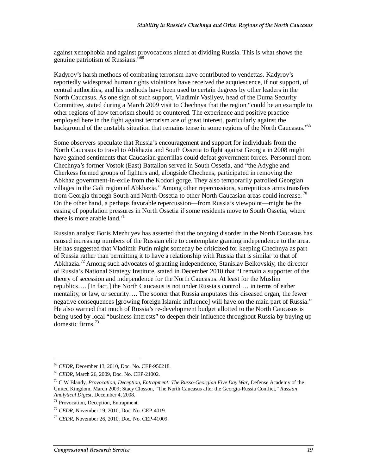against xenophobia and against provocations aimed at dividing Russia. This is what shows the genuine patriotism of Russians."68

Kadyrov's harsh methods of combating terrorism have contributed to vendettas. Kadyrov's reportedly widespread human rights violations have received the acquiescence, if not support, of central authorities, and his methods have been used to certain degrees by other leaders in the North Caucasus. As one sign of such support, Vladimir Vasilyev, head of the Duma Security Committee, stated during a March 2009 visit to Chechnya that the region "could be an example to other regions of how terrorism should be countered. The experience and positive practice employed here in the fight against terrorism are of great interest, particularly against the background of the unstable situation that remains tense in some regions of the North Caucasus."69

Some observers speculate that Russia's encouragement and support for individuals from the North Caucasus to travel to Abkhazia and South Ossetia to fight against Georgia in 2008 might have gained sentiments that Caucasian guerrillas could defeat government forces. Personnel from Chechnya's former Vostok (East) Battalion served in South Ossetia, and "the Adyghe and Cherkess formed groups of fighters and, alongside Chechens, participated in removing the Abkhaz government-in-exile from the Kodori gorge. They also temporarily patrolled Georgian villages in the Gali region of Abkhazia." Among other repercussions, surreptitious arms transfers from Georgia through South and North Ossetia to other North Caucasian areas could increase.<sup>70</sup> On the other hand, a perhaps favorable repercussion—from Russia's viewpoint—might be the easing of population pressures in North Ossetia if some residents move to South Ossetia, where there is more arable land.<sup>71</sup>

Russian analyst Boris Mezhuyev has asserted that the ongoing disorder in the North Caucasus has caused increasing numbers of the Russian elite to contemplate granting independence to the area. He has suggested that Vladimir Putin might someday be criticized for keeping Chechnya as part of Russia rather than permitting it to have a relationship with Russia that is similar to that of Abkhazia.<sup>72</sup> Among such advocates of granting independence, Stanislav Belkovskiy, the director of Russia's National Strategy Institute, stated in December 2010 that "I remain a supporter of the theory of secession and independence for the North Caucasus. At least for the Muslim republics…. [In fact,] the North Caucasus is not under Russia's control … in terms of either mentality, or law, or security…. The sooner that Russia amputates this diseased organ, the fewer negative consequences [growing foreign Islamic influence] will have on the main part of Russia." He also warned that much of Russia's re-development budget allotted to the North Caucasus is being used by local "business interests" to deepen their influence throughout Russia by buying up domestic firms. $^{73}$ 

<sup>68</sup> *CEDR*, December 13, 2010, Doc. No. CEP-950218.

<sup>69</sup> *CEDR*, March 26, 2009, Doc. No. CEP-21002.

<sup>70</sup> C W Blandy, *Provocation, Deception, Entrapment: The Russo-Georgian Five Day War*, Defense Academy of the United Kingdom, March 2009; Stacy Closson, "The North Caucasus after the Georgia-Russia Conflict," *Russian Analytical Digest*, December 4, 2008.

<sup>&</sup>lt;sup>71</sup> Provocation, Deception, Entrapment.

<sup>72</sup> *CEDR*, November 19, 2010, Doc. No. CEP-4019.

<sup>73</sup> *CEDR*, November 26, 2010, Doc. No. CEP-41009.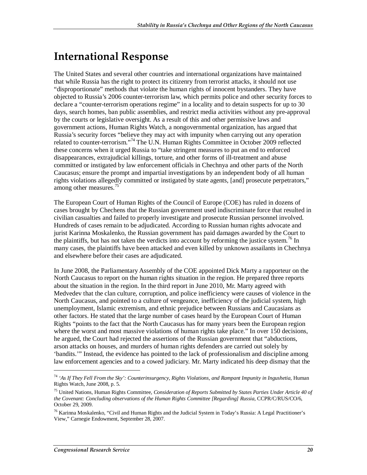## **International Response**

The United States and several other countries and international organizations have maintained that while Russia has the right to protect its citizenry from terrorist attacks, it should not use "disproportionate" methods that violate the human rights of innocent bystanders. They have objected to Russia's 2006 counter-terrorism law, which permits police and other security forces to declare a "counter-terrorism operations regime" in a locality and to detain suspects for up to 30 days, search homes, ban public assemblies, and restrict media activities without any pre-approval by the courts or legislative oversight. As a result of this and other permissive laws and government actions, Human Rights Watch, a nongovernmental organization, has argued that Russia's security forces "believe they may act with impunity when carrying out any operation related to counter-terrorism."74 The U.N. Human Rights Committee in October 2009 reflected these concerns when it urged Russia to "take stringent measures to put an end to enforced disappearances, extrajudicial killings, torture, and other forms of ill-treatment and abuse committed or instigated by law enforcement officials in Chechnya and other parts of the North Caucasus; ensure the prompt and impartial investigations by an independent body of all human rights violations allegedly committed or instigated by state agents, [and] prosecute perpetrators," among other measures.<sup>75</sup>

The European Court of Human Rights of the Council of Europe (COE) has ruled in dozens of cases brought by Chechens that the Russian government used indiscriminate force that resulted in civilian casualties and failed to properly investigate and prosecute Russian personnel involved. Hundreds of cases remain to be adjudicated. According to Russian human rights advocate and jurist Karinna Moskalenko, the Russian government has paid damages awarded by the Court to the plaintiffs, but has not taken the verdicts into account by reforming the justice system.<sup>76</sup> In many cases, the plaintiffs have been attacked and even killed by unknown assailants in Chechnya and elsewhere before their cases are adjudicated.

In June 2008, the Parliamentary Assembly of the COE appointed Dick Marty a rapporteur on the North Caucasus to report on the human rights situation in the region. He prepared three reports about the situation in the region. In the third report in June 2010, Mr. Marty agreed with Medvedev that the clan culture, corruption, and police inefficiency were causes of violence in the North Caucasus, and pointed to a culture of vengeance, inefficiency of the judicial system, high unemployment, Islamic extremism, and ethnic prejudice between Russians and Caucasians as other factors. He stated that the large number of cases heard by the European Court of Human Rights "points to the fact that the North Caucasus has for many years been the European region where the worst and most massive violations of human rights take place." In over 150 decisions, he argued, the Court had rejected the assertions of the Russian government that "abductions, arson attacks on houses, and murders of human rights defenders are carried out solely by 'bandits.'" Instead, the evidence has pointed to the lack of professionalism and discipline among law enforcement agencies and to a cowed judiciary. Mr. Marty indicated his deep dismay that the

<sup>74</sup> *'As If They Fell From the Sky': Counterinsurgency, Rights Violations, and Rampant Impunity in Ingushetia*, Human Rights Watch, June 2008, p. 5.

<sup>75</sup> United Nations, Human Rights Committee, *Consideration of Reports Submitted by States Parties Under Article 40 of the Covenant: Concluding observations of the Human Rights Committee [Regarding] Russia*, CCPR/C/RUS/CO/6, October 29, 2009.

<sup>&</sup>lt;sup>76</sup> Karinna Moskalenko, "Civil and Human Rights and the Judicial System in Today's Russia: A Legal Practitioner's View," Carnegie Endowment, September 28, 2007.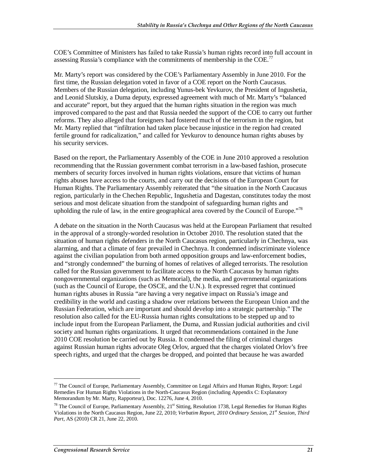COE's Committee of Ministers has failed to take Russia's human rights record into full account in assessing Russia's compliance with the commitments of membership in the  $COE$ <sup>77</sup>

Mr. Marty's report was considered by the COE's Parliamentary Assembly in June 2010. For the first time, the Russian delegation voted in favor of a COE report on the North Caucasus. Members of the Russian delegation, including Yunus-bek Yevkurov, the President of Ingushetia, and Leonid Slutskiy, a Duma deputy, expressed agreement with much of Mr. Marty's "balanced and accurate" report, but they argued that the human rights situation in the region was much improved compared to the past and that Russia needed the support of the COE to carry out further reforms. They also alleged that foreigners had fostered much of the terrorism in the region, but Mr. Marty replied that "infiltration had taken place because injustice in the region had created fertile ground for radicalization," and called for Yevkurov to denounce human rights abuses by his security services.

Based on the report, the Parliamentary Assembly of the COE in June 2010 approved a resolution recommending that the Russian government combat terrorism in a law-based fashion, prosecute members of security forces involved in human rights violations, ensure that victims of human rights abuses have access to the courts, and carry out the decisions of the European Court for Human Rights. The Parliamentary Assembly reiterated that "the situation in the North Caucasus region, particularly in the Chechen Republic, Ingushetia and Dagestan, constitutes today the most serious and most delicate situation from the standpoint of safeguarding human rights and upholding the rule of law, in the entire geographical area covered by the Council of Europe."<sup>78</sup>

A debate on the situation in the North Caucasus was held at the European Parliament that resulted in the approval of a strongly-worded resolution in October 2010. The resolution stated that the situation of human rights defenders in the North Caucasus region, particularly in Chechnya, was alarming, and that a climate of fear prevailed in Chechnya. It condemned indiscriminate violence against the civilian population from both armed opposition groups and law-enforcement bodies, and "strongly condemned" the burning of homes of relatives of alleged terrorists. The resolution called for the Russian government to facilitate access to the North Caucasus by human rights nongovernmental organizations (such as Memorial), the media, and governmental organizations (such as the Council of Europe, the OSCE, and the U.N.). It expressed regret that continued human rights abuses in Russia "are having a very negative impact on Russia's image and credibility in the world and casting a shadow over relations between the European Union and the Russian Federation, which are important and should develop into a strategic partnership." The resolution also called for the EU-Russia human rights consultations to be stepped up and to include input from the European Parliament, the Duma, and Russian judicial authorities and civil society and human rights organizations. It urged that recommendations contained in the June 2010 COE resolution be carried out by Russia. It condemned the filing of criminal charges against Russian human rights advocate Oleg Orlov, argued that the charges violated Orlov's free speech rights, and urged that the charges be dropped, and pointed that because he was awarded

 $77$  The Council of Europe, Parliamentary Assembly, Committee on Legal Affairs and Human Rights, Report: Legal Remedies For Human Rights Violations in the North-Caucasus Region (including Appendix C: Explanatory Memorandum by Mr. Marty, Rapporteur), Doc. 12276, June 4, 2010.

 $^{78}$  The Council of Europe, Parliamentary Assembly,  $21^{st}$  Sitting, Resolution 1738, Legal Remedies for Human Rights Violations in the North Caucasus Region, June 22, 2010; *Verbatim Report, 2010 Ordinary Session, 21st Session, Third Part*, AS (2010) CR 21, June 22, 2010.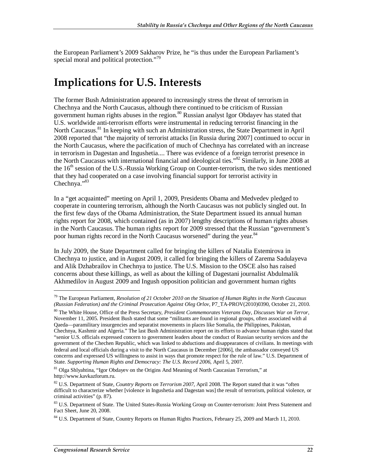the European Parliament's 2009 Sakharov Prize, he "is thus under the European Parliament's special moral and political protection."<sup>79</sup>

### **Implications for U.S. Interests**

The former Bush Administration appeared to increasingly stress the threat of terrorism in Chechnya and the North Caucasus, although there continued to be criticism of Russian government human rights abuses in the region. $80$  Russian analyst Igor Obdayev has stated that U.S. worldwide anti-terrorism efforts were instrumental in reducing terrorist financing in the North Caucasus.<sup>81</sup> In keeping with such an Administration stress, the State Department in April 2008 reported that "the majority of terrorist attacks [in Russia during 2007] continued to occur in the North Caucasus, where the pacification of much of Chechnya has correlated with an increase in terrorism in Dagestan and Ingushetia.... There was evidence of a foreign terrorist presence in the North Caucasus with international financial and ideological ties."<sup>82</sup> Similarly, in June 2008 at the  $16<sup>th</sup>$  session of the U.S.-Russia Working Group on Counter-terrorism, the two sides mentioned that they had cooperated on a case involving financial support for terrorist activity in Chechnya."<sup>83</sup>

In a "get acquainted" meeting on April 1, 2009, Presidents Obama and Medvedev pledged to cooperate in countering terrorism, although the North Caucasus was not publicly singled out. In the first few days of the Obama Administration, the State Department issued its annual human rights report for 2008, which contained (as in 2007) lengthy descriptions of human rights abuses in the North Caucasus. The human rights report for 2009 stressed that the Russian "government's poor human rights record in the North Caucasus worsened" during the year.<sup>84</sup>

In July 2009, the State Department called for bringing the killers of Natalia Estemirova in Chechnya to justice, and in August 2009, it called for bringing the killers of Zarema Sadulayeva and Alik Dzhabrailov in Chechnya to justice. The U.S. Mission to the OSCE also has raised concerns about these killings, as well as about the killing of Dagestani journalist Abdulmalik Akhmedilov in August 2009 and Ingush opposition politician and government human rights

<sup>79</sup> The European Parliament, *Resolution of 21 October 2010 on the Situation of Human Rights in the North Caucasus (Russian Federation) and the Criminal Prosecution Against Oleg Orlov*, P7\_TA-PROV(2010)0390, October 21, 2010.

<sup>80</sup> The White House, Office of the Press Secretary, *President Commemorates Veterans Day, Discusses War on Terror*, November 11, 2005. President Bush stated that some "militants are found in regional groups, often associated with al Qaeda—paramilitary insurgencies and separatist movements in places like Somalia, the Philippines, Pakistan, Chechnya, Kashmir and Algeria." The last Bush Administration report on its efforts to advance human rights stated that "senior U.S. officials expressed concern to government leaders about the conduct of Russian security services and the government of the Chechen Republic, which was linked to abductions and disappearances of civilians. In meetings with federal and local officials during a visit to the North Caucasus in December [2006], the ambassador conveyed US concerns and expressed US willingness to assist in ways that promote respect for the rule of law." U.S. Department of State. *Supporting Human Rights and Democracy: The U.S. Record 2006*, April 5, 2007.

<sup>81</sup> Olga Shlyahtina, "Igor Obdayev on the Origins And Meaning of North Caucasian Terrorism," at http://www.kavkazforum.ru.

<sup>&</sup>lt;sup>82</sup> U.S. Department of State, *Country Reports on Terrorism 2007*, April 2008. The Report stated that it was "often difficult to characterize whether [violence in Ingushetia and Dagestan was] the result of terrorism, political violence, or criminal activities" (p. 87).

<sup>&</sup>lt;sup>83</sup> U.S. Department of State. The United States-Russia Working Group on Counter-terrorism: Joint Press Statement and Fact Sheet, June 20, 2008.

<sup>&</sup>lt;sup>84</sup> U.S. Department of State, Country Reports on Human Rights Practices, February 25, 2009 and March 11, 2010.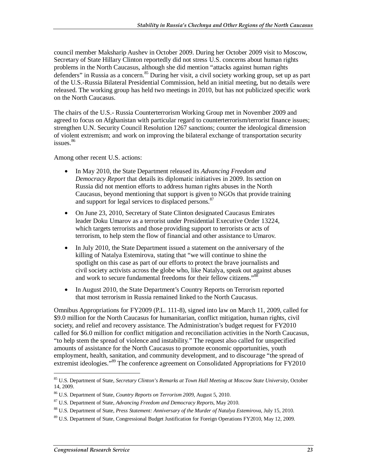council member Maksharip Aushev in October 2009. During her October 2009 visit to Moscow, Secretary of State Hillary Clinton reportedly did not stress U.S. concerns about human rights problems in the North Caucasus, although she did mention "attacks against human rights defenders" in Russia as a concern.<sup>85</sup> During her visit, a civil society working group, set up as part of the U.S.-Russia Bilateral Presidential Commission, held an initial meeting, but no details were released. The working group has held two meetings in 2010, but has not publicized specific work on the North Caucasus.

The chairs of the U.S.- Russia Counterterrorism Working Group met in November 2009 and agreed to focus on Afghanistan with particular regard to counterterrorism/terrorist finance issues; strengthen U.N. Security Council Resolution 1267 sanctions; counter the ideological dimension of violent extremism; and work on improving the bilateral exchange of transportation security  $issues.<sup>86</sup>$ 

Among other recent U.S. actions:

- In May 2010, the State Department released its *Advancing Freedom and Democracy Report* that details its diplomatic initiatives in 2009. Its section on Russia did not mention efforts to address human rights abuses in the North Caucasus, beyond mentioning that support is given to NGOs that provide training and support for legal services to displaced persons.<sup>87</sup>
- On June 23, 2010, Secretary of State Clinton designated Caucasus Emirates leader Doku Umarov as a terrorist under Presidential Executive Order 13224, which targets terrorists and those providing support to terrorists or acts of terrorism, to help stem the flow of financial and other assistance to Umarov.
- In July 2010, the State Department issued a statement on the anniversary of the killing of Natalya Estemirova, stating that "we will continue to shine the spotlight on this case as part of our efforts to protect the brave journalists and civil society activists across the globe who, like Natalya, speak out against abuses and work to secure fundamental freedoms for their fellow citizens."<sup>88</sup>
- In August 2010, the State Department's Country Reports on Terrorism reported that most terrorism in Russia remained linked to the North Caucasus.

Omnibus Appropriations for FY2009 (P.L. 111-8), signed into law on March 11, 2009, called for \$9.0 million for the North Caucasus for humanitarian, conflict mitigation, human rights, civil society, and relief and recovery assistance. The Administration's budget request for FY2010 called for \$6.0 million for conflict mitigation and reconciliation activities in the North Caucasus, "to help stem the spread of violence and instability." The request also called for unspecified amounts of assistance for the North Caucasus to promote economic opportunities, youth employment, health, sanitation, and community development, and to discourage "the spread of extremist ideologies."<sup>89</sup> The conference agreement on Consolidated Appropriations for FY2010

<sup>85</sup> U.S. Department of State, *Secretary Clinton's Remarks at Town Hall Meeting at Moscow State University*, October 14, 2009.

<sup>86</sup> U.S. Department of State, *Country Reports on Terrorism 2009*, August 5, 2010.

<sup>87</sup> U.S. Department of State, *Advancing Freedom and Democracy Reports*, May 2010.

<sup>88</sup> U.S. Department of State, *Press Statement: Anniversary of the Murder of Natalya Estemirova*, July 15, 2010.

<sup>89</sup> U.S. Department of State, Congressional Budget Justification for Foreign Operations FY2010, May 12, 2009.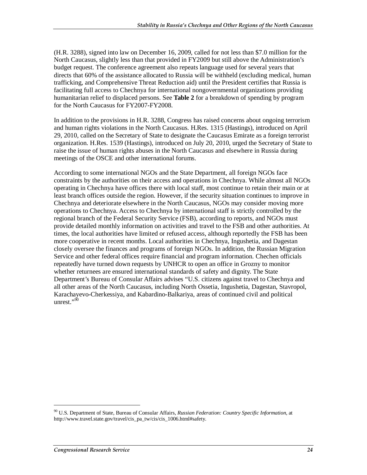(H.R. 3288), signed into law on December 16, 2009, called for not less than \$7.0 million for the North Caucasus, slightly less than that provided in FY2009 but still above the Administration's budget request. The conference agreement also repeats language used for several years that directs that 60% of the assistance allocated to Russia will be withheld (excluding medical, human trafficking, and Comprehensive Threat Reduction aid) until the President certifies that Russia is facilitating full access to Chechnya for international nongovernmental organizations providing humanitarian relief to displaced persons. See **Table 2** for a breakdown of spending by program for the North Caucasus for FY2007-FY2008.

In addition to the provisions in H.R. 3288, Congress has raised concerns about ongoing terrorism and human rights violations in the North Caucasus. H.Res. 1315 (Hastings), introduced on April 29, 2010, called on the Secretary of State to designate the Caucasus Emirate as a foreign terrorist organization. H.Res. 1539 (Hastings), introduced on July 20, 2010, urged the Secretary of State to raise the issue of human rights abuses in the North Caucasus and elsewhere in Russia during meetings of the OSCE and other international forums.

According to some international NGOs and the State Department, all foreign NGOs face constraints by the authorities on their access and operations in Chechnya. While almost all NGOs operating in Chechnya have offices there with local staff, most continue to retain their main or at least branch offices outside the region. However, if the security situation continues to improve in Chechnya and deteriorate elsewhere in the North Caucasus, NGOs may consider moving more operations to Chechnya. Access to Chechnya by international staff is strictly controlled by the regional branch of the Federal Security Service (FSB), according to reports, and NGOs must provide detailed monthly information on activities and travel to the FSB and other authorities. At times, the local authorities have limited or refused access, although reportedly the FSB has been more cooperative in recent months. Local authorities in Chechnya, Ingushetia, and Dagestan closely oversee the finances and programs of foreign NGOs. In addition, the Russian Migration Service and other federal offices require financial and program information. Chechen officials repeatedly have turned down requests by UNHCR to open an office in Grozny to monitor whether returnees are ensured international standards of safety and dignity. The State Department's Bureau of Consular Affairs advises "U.S. citizens against travel to Chechnya and all other areas of the North Caucasus, including North Ossetia, Ingushetia, Dagestan, Stavropol, Karachayevo-Cherkessiya, and Kabardino-Balkariya, areas of continued civil and political unrest." $^{90}$ 

<sup>90</sup> U.S. Department of State, Bureau of Consular Affairs, *Russian Federation: Country Specific Information*, at http://www.travel.state.gov/travel/cis\_pa\_tw/cis/cis\_1006.html#safety.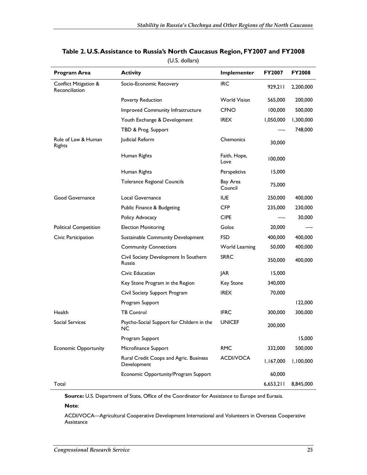| <b>Program Area</b>                     | <b>Activity</b>                                       | Implementer           | <b>FY2007</b> | <b>FY2008</b> |
|-----------------------------------------|-------------------------------------------------------|-----------------------|---------------|---------------|
| Conflict Mitigation &<br>Reconciliation | Socio-Economic Recovery                               | <b>IRC</b>            | 929,211       | 2,200,000     |
|                                         | <b>Poverty Reduction</b>                              | <b>World Vision</b>   | 565,000       | 200,000       |
|                                         | Improved Community Infrastructure                     | <b>CFNO</b>           | 100,000       | 500,000       |
|                                         | Youth Exchange & Development                          | <b>IREX</b>           | 1,050,000     | 1,300,000     |
|                                         | TBD & Prog. Support                                   |                       |               | 748,000       |
| Rule of Law & Human<br>Rights           | Judicial Reform                                       | Chemonics             | 30,000        |               |
|                                         | Human Rights                                          | Faith, Hope,<br>Love  | 100,000       |               |
|                                         | Human Rights                                          | Perspektiva           | 15,000        |               |
|                                         | <b>Tolerance Regional Councils</b>                    | Bay Area<br>Council   | 75,000        |               |
| Good Governance                         | Local Governance                                      | <b>IUE</b>            | 250,000       | 400,000       |
|                                         | Public Finance & Budgeting                            | <b>CFP</b>            | 235,000       | 230,000       |
|                                         | Policy Advocacy                                       | <b>CIPE</b>           |               | 30,000        |
| <b>Political Competition</b>            | <b>Election Monitoring</b>                            | Golos                 | 20,000        |               |
| Civic Participation                     | Sustainable Community Development                     | <b>FSD</b>            | 400,000       | 400,000       |
|                                         | <b>Community Connections</b>                          | <b>World Learning</b> | 50,000        | 400,000       |
|                                         | Civil Society Development In Southern<br>Russia       | <b>SRRC</b>           | 350,000       | 400,000       |
|                                         | Civic Education                                       | <b>JAR</b>            | 15,000        |               |
|                                         | Key Stone Program in the Region                       | Key Stone             | 340,000       |               |
|                                         | Civil Society Support Program                         | <b>IREX</b>           | 70,000        |               |
|                                         | Program Support                                       |                       |               | 122,000       |
| Health                                  | <b>TB Control</b>                                     | <b>IFRC</b>           | 300,000       | 300,000       |
| Social Services                         | Psycho-Social Support for Childern in the<br>NC.      | <b>UNICEF</b>         | 200,000       |               |
|                                         | Program Support                                       |                       |               | 15,000        |
| <b>Economic Opportunity</b>             | Microfinance Support                                  | <b>RMC</b>            | 332,000       | 500,000       |
|                                         | Rural Credit Coops and Agric. Business<br>Development | <b>ACDI/VOCA</b>      | 1,167,000     | 1,100,000     |
|                                         | Economic Opportunity/Program Support                  |                       | 60,000        |               |
| Total                                   |                                                       |                       | 6,653,211     | 8,845,000     |

#### **Table 2. U.S. Assistance to Russia's North Caucasus Region, FY2007 and FY2008**  (U.S. dollars)

**Source:** U.S. Department of State, Office of the Coordinator for Assistance to Europe and Eurasia.

**Note**:

ACDI/VOCA—Agricultural Cooperative Development International and Volunteers in Overseas Cooperative Assistance